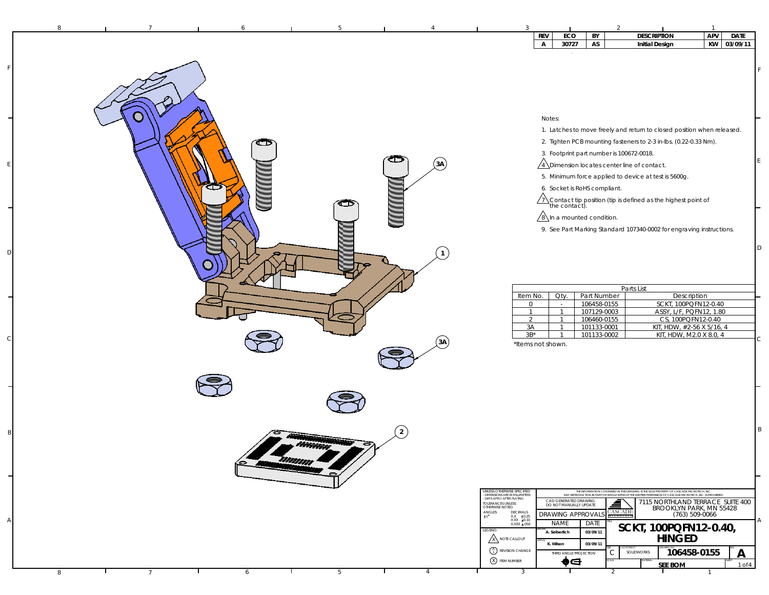|   |                 |   |     |      | APV<br><b>REV</b><br><b>DESCRIPTION</b><br><b>DATE</b><br>ECO<br>BY                                                                                                                                                                                                                                   |
|---|-----------------|---|-----|------|-------------------------------------------------------------------------------------------------------------------------------------------------------------------------------------------------------------------------------------------------------------------------------------------------------|
|   |                 |   |     |      | KW<br>03/09/11<br>30727<br>AS<br>$\mathsf{A}$<br><b>Initial Design</b>                                                                                                                                                                                                                                |
|   |                 |   |     |      |                                                                                                                                                                                                                                                                                                       |
|   |                 |   |     |      |                                                                                                                                                                                                                                                                                                       |
|   |                 |   |     |      |                                                                                                                                                                                                                                                                                                       |
|   |                 |   |     |      |                                                                                                                                                                                                                                                                                                       |
|   |                 |   |     |      |                                                                                                                                                                                                                                                                                                       |
|   |                 |   |     |      |                                                                                                                                                                                                                                                                                                       |
|   |                 |   |     |      | Notes:                                                                                                                                                                                                                                                                                                |
|   |                 |   |     |      | 1. Latches to move freely and return to closed position when released.                                                                                                                                                                                                                                |
|   |                 | œ |     |      | 2. Tighten PCB mounting fasteners to 2-3 in-lbs. (0.22-0.33 Nm).                                                                                                                                                                                                                                      |
|   |                 |   |     |      | 3. Footprint part number is 100672-0018.                                                                                                                                                                                                                                                              |
|   |                 |   |     | (3A) | $\sqrt{4}$ Dimension locates center line of contact.                                                                                                                                                                                                                                                  |
|   |                 |   |     |      | 5. Minimum force applied to device at test is 5600g.                                                                                                                                                                                                                                                  |
|   |                 | æ |     |      | 6. Socket is RoHS compliant.                                                                                                                                                                                                                                                                          |
|   |                 |   |     |      | $\sqrt{1}$ Contact tip position (tip is defined as the highest point of the contact).                                                                                                                                                                                                                 |
|   |                 |   |     |      |                                                                                                                                                                                                                                                                                                       |
|   |                 |   |     |      | $\sqrt{8}$ In a mounted condition.                                                                                                                                                                                                                                                                    |
|   |                 |   |     |      | 9. See Part Marking Standard 107340-0002 for engraving instructions.                                                                                                                                                                                                                                  |
|   |                 |   |     |      | D                                                                                                                                                                                                                                                                                                     |
|   |                 |   |     |      |                                                                                                                                                                                                                                                                                                       |
|   |                 |   |     |      |                                                                                                                                                                                                                                                                                                       |
|   |                 |   |     |      |                                                                                                                                                                                                                                                                                                       |
|   |                 |   |     |      | Parts List                                                                                                                                                                                                                                                                                            |
|   |                 |   |     |      | Part Number<br>Description<br>Item No.<br>Oty.                                                                                                                                                                                                                                                        |
|   |                 |   |     |      | 106458-0155<br>SCKT, 100PQFN12-0.40<br>$\circ$<br>$\sim$<br>$\overline{1}$<br>107129-0003<br>ASSY, L/F, PQFN12, 1.80<br>$\overline{1}$                                                                                                                                                                |
|   |                 |   |     |      | CS, 100PQFN12-0.40<br>$\overline{2}$<br>106460-0155<br>$\overline{1}$                                                                                                                                                                                                                                 |
|   |                 |   |     |      | 3A<br>101133-0001<br>KIT, HDW, #2-56 X 5/16, 4<br>$\mathbf{1}$<br>$3B^*$<br>101133-0002<br>KIT, HDW, M2.0 X 8.0, 4<br>$\mathbf{1}$                                                                                                                                                                    |
|   |                 |   |     | (3A) | C<br>*Items not shown.                                                                                                                                                                                                                                                                                |
|   |                 |   |     |      |                                                                                                                                                                                                                                                                                                       |
|   |                 |   |     |      |                                                                                                                                                                                                                                                                                                       |
|   |                 |   |     |      |                                                                                                                                                                                                                                                                                                       |
|   |                 |   |     |      |                                                                                                                                                                                                                                                                                                       |
|   |                 |   |     |      |                                                                                                                                                                                                                                                                                                       |
|   |                 |   |     |      |                                                                                                                                                                                                                                                                                                       |
|   |                 |   |     |      |                                                                                                                                                                                                                                                                                                       |
|   |                 |   |     | 2    | B                                                                                                                                                                                                                                                                                                     |
|   |                 |   |     |      |                                                                                                                                                                                                                                                                                                       |
|   |                 |   |     |      |                                                                                                                                                                                                                                                                                                       |
|   |                 | ⇔ | mmm |      |                                                                                                                                                                                                                                                                                                       |
|   |                 |   |     |      |                                                                                                                                                                                                                                                                                                       |
|   |                 |   |     |      |                                                                                                                                                                                                                                                                                                       |
|   |                 |   |     |      | UNLESS OTHERWISE SPECIFIED<br>THE INFORMATION CONTAINED IN THIS DRAWING IS THE SOLE PROPERTY OF CASCADE MICROTECH, INC.<br>ANY REPRODUCTION IN PART OR WHOLE WITHOUT THE WRITTEN PERMISSION OF CASCADE MICROTECH, INC. IS PROHIBITED<br>- DIMENSIONS ARE IN MILLIMETERS<br>- DIMS APPLY AFTER PLATING |
|   |                 |   |     |      | CAD GENERATED DRAWING<br>▋<br>7115 NORTHLAND TERRACE SUITE 400<br>TOLERANCES UNLESS<br>OTHERWISE NOTED:<br>DO NOT MANUALLY UPDATE<br>BROOKLYN PARK, MN 55428                                                                                                                                          |
|   |                 |   |     |      | <b>CASCADE</b><br>$\begin{array}{ll} \textsf{ANGLES} \\ \texttt{1}^\bullet \end{array}$<br>$\begin{array}{cc} {\sf DECIMALS} \\ {\sf XXX} & \pm 0.25 \\ {\sf XXX} & \pm 0.10 \end{array}$<br><b>DRAWING APPROVAL</b><br>(763) 509-0066<br>Α                                                           |
|   |                 |   |     |      | <b>NAME</b><br>DATE<br>XXXX ±.050<br>SCKT, 100PQFN12-0.40,<br>LEGEND:<br>A. Seiberlich<br>03/09/11                                                                                                                                                                                                    |
|   |                 |   |     |      | <b>HINGED</b><br>A NOTE CALLOUT<br>K. Wilson<br>03/09/11                                                                                                                                                                                                                                              |
|   |                 |   |     |      | $\begin{pmatrix} A \\ 1 \end{pmatrix}$ REVISION CHANGE<br>106458-0155<br>$\mathsf C$<br>SOLIDWORKS<br>$\mathsf{A}$<br>THIRD ANGLE PROJECTION                                                                                                                                                          |
|   |                 |   |     |      | <b>8</b> TEM NUMBER<br>♠⊖<br>SEE BOM<br>$1$ of $4$                                                                                                                                                                                                                                                    |
| 8 | $7\overline{ }$ | 6 | 5   | 4    | $\overline{3}$<br>2                                                                                                                                                                                                                                                                                   |

F

E

D

 $\epsilon$ 

B

A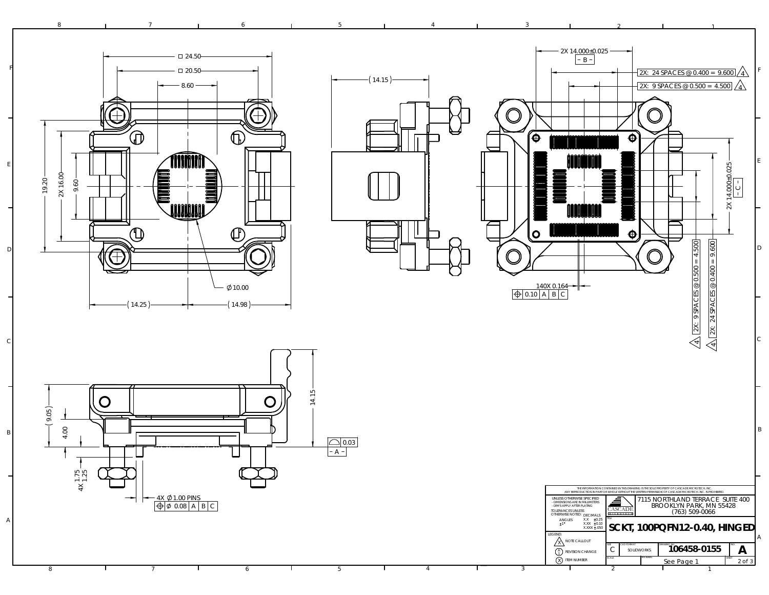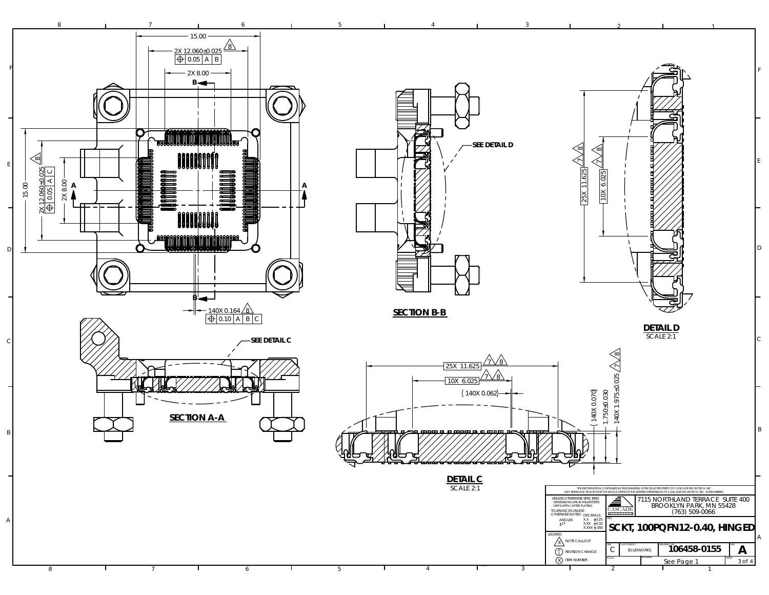